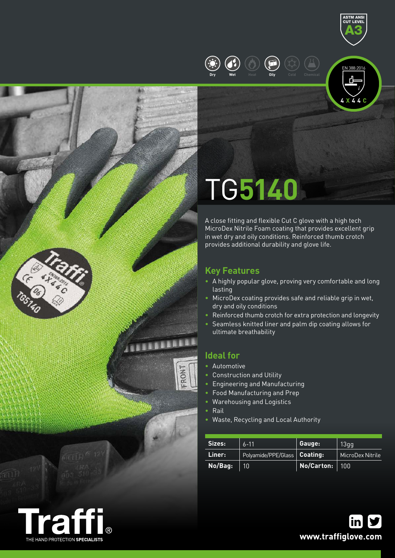







# TG**5140**

A close fitting and flexible Cut C glove with a high tech MicroDex Nitrile Foam coating that provides excellent grip in wet dry and oily conditions. Reinforced thumb crotch provides additional durability and glove life.

## **Key Features**

- A highly popular glove, proving very comfortable and long lasting
- MicroDex coating provides safe and reliable grip in wet, dry and oily conditions
- Reinforced thumb crotch for extra protection and longevity
- Seamless knitted liner and palm dip coating allows for ultimate breathability

### **Ideal for**

- Automotive
- Construction and Utility
- Engineering and Manufacturing
- Food Manufacturing and Prep
- Warehousing and Logistics
- Rail

FRONT

• Waste, Recycling and Local Authority

| Sizes:  | $6 - 11$                       | Gauge:           | 13qq             |  |
|---------|--------------------------------|------------------|------------------|--|
| Liner:  | Polyamide/PPE/Glass   Coating: |                  | MicroDex Nitrile |  |
| No/Bag: | 10                             | No/Carton:   100 |                  |  |